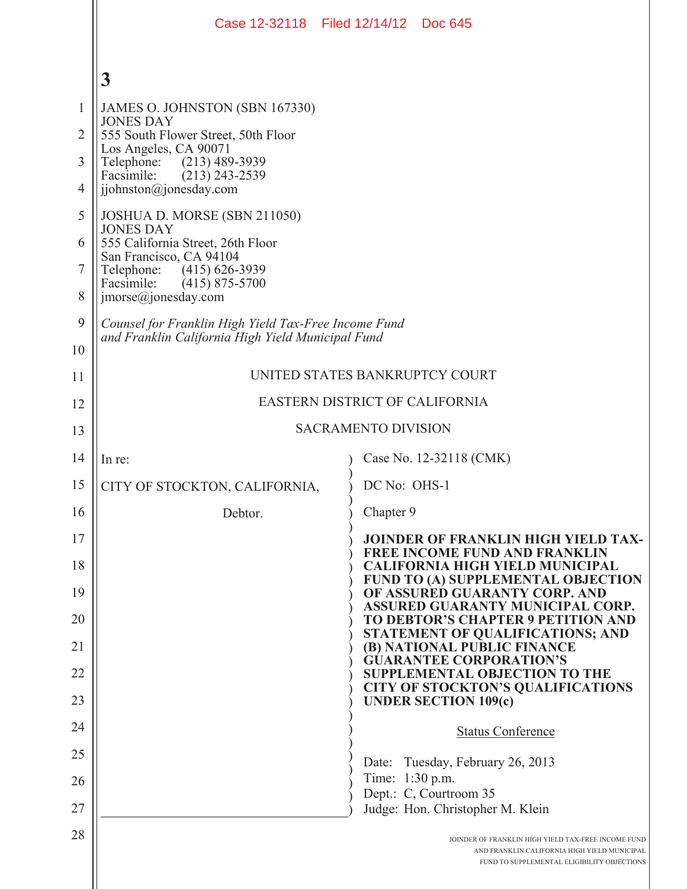|          | Case 12-32118 Filed 12/14/12 Doc 645                                                                      |                                                                                                                                                    |
|----------|-----------------------------------------------------------------------------------------------------------|----------------------------------------------------------------------------------------------------------------------------------------------------|
|          | $\mathbf{3}$                                                                                              |                                                                                                                                                    |
| 1        | JAMES O. JOHNSTON (SBN 167330)<br><b>JONES DAY</b>                                                        |                                                                                                                                                    |
| 2        | 555 South Flower Street, 50th Floor<br>Los Angeles, CA 90071                                              |                                                                                                                                                    |
| 3        | Telephone:<br>$(213)$ 489-3939<br>Facsimile:<br>$(213)$ 243-2539                                          |                                                                                                                                                    |
| 4        | jjohnston@jonesday.com                                                                                    |                                                                                                                                                    |
| 5        | JOSHUA D. MORSE (SBN 211050)<br><b>JONES DAY</b>                                                          |                                                                                                                                                    |
| 6        | 555 California Street, 26th Floor<br>San Francisco, CA 94104                                              |                                                                                                                                                    |
| 7        | Telephone:<br>$(415)$ 626-3939<br>Facsimile:<br>$(415)$ 875-5700                                          |                                                                                                                                                    |
| 8        | $\text{imorse}(a)$ jonesday.com                                                                           |                                                                                                                                                    |
| 9        | Counsel for Franklin High Yield Tax-Free Income Fund<br>and Franklin California High Yield Municipal Fund |                                                                                                                                                    |
| 10       |                                                                                                           |                                                                                                                                                    |
| 11       | UNITED STATES BANKRUPTCY COURT                                                                            |                                                                                                                                                    |
| 12       | EASTERN DISTRICT OF CALIFORNIA                                                                            |                                                                                                                                                    |
| 13       | <b>SACRAMENTO DIVISION</b>                                                                                |                                                                                                                                                    |
| 14       | In re:                                                                                                    | Case No. 12-32118 (CMK)                                                                                                                            |
| 15       | CITY OF STOCKTON, CALIFORNIA,                                                                             | DC No: OHS-1                                                                                                                                       |
| 16       | Debtor.                                                                                                   | Chapter 9                                                                                                                                          |
| 17       |                                                                                                           | <b>JOINDER OF FRANKLIN HIGH YIELD TAX-</b><br><b>FREE INCOME FUND AND FRANKLIN</b>                                                                 |
| 18<br>19 |                                                                                                           | <b>CALIFORNIA HIGH YIELD MUNICIPAL</b><br>FUND TO (A) SUPPLEMENTAL OBJECTION<br>OF ASSURED GUARANTY CORP. AND                                      |
| 20       |                                                                                                           | ASSURED GUARANTY MUNICIPAL CORP.<br>TO DEBTOR'S CHAPTER 9 PETITION AND                                                                             |
| 21       |                                                                                                           | STATEMENT OF QUALIFICATIONS; AND<br>(B) NATIONAL PUBLIC FINANCE                                                                                    |
| 22       |                                                                                                           | <b>GUARANTEE CORPORATION'S</b><br><b>SUPPLEMENTAL OBJECTION TO THE</b>                                                                             |
| 23       |                                                                                                           | <b>CITY OF STOCKTON'S QUALIFICATIONS</b><br><b>UNDER SECTION 109(c)</b>                                                                            |
| 24       |                                                                                                           | <b>Status Conference</b>                                                                                                                           |
| 25       |                                                                                                           | Tuesday, February 26, 2013<br>Date:                                                                                                                |
| 26       |                                                                                                           | Time: 1:30 p.m.                                                                                                                                    |
| 27       |                                                                                                           | Dept.: C, Courtroom 35<br>Judge: Hon. Christopher M. Klein                                                                                         |
| 28       |                                                                                                           | JOINDER OF FRANKLIN HIGH YIELD TAX-FREE INCOME FUND<br>AND FRANKLIN CALIFORNIA HIGH YIELD MUNICIPAL<br>FUND TO SUPPLEMENTAL ELIGIBILITY OBJECTIONS |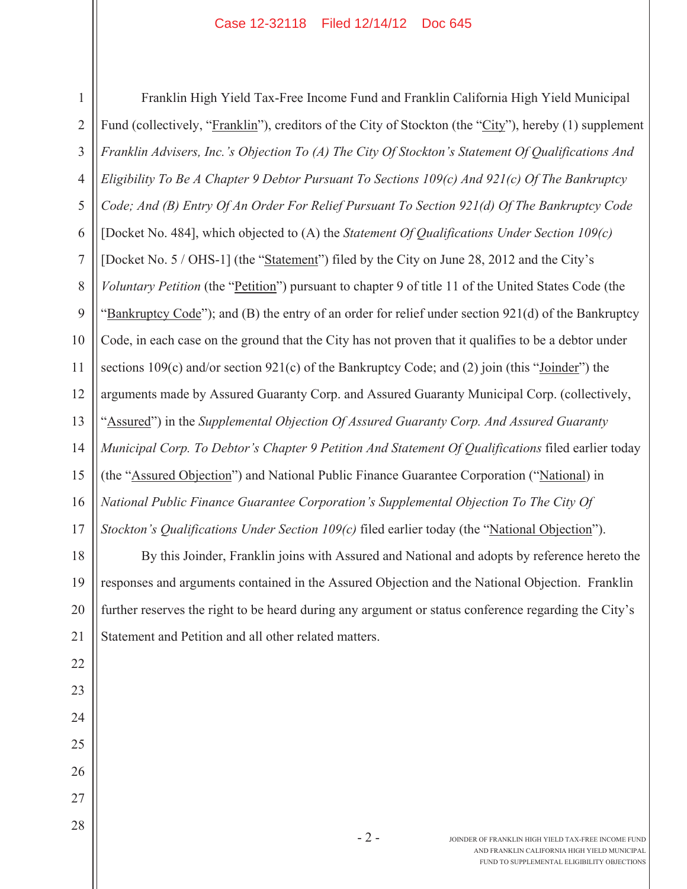## Case 12-32118 Filed 12/14/12 Doc 645

1 2 3 4 5 6 7 8 9 10 11 12 13 14 15 16 17 Franklin High Yield Tax-Free Income Fund and Franklin California High Yield Municipal Fund (collectively, "Franklin"), creditors of the City of Stockton (the "City"), hereby (1) supplement *Franklin Advisers, Inc.'s Objection To (A) The City Of Stockton's Statement Of Qualifications And Eligibility To Be A Chapter 9 Debtor Pursuant To Sections 109(c) And 921(c) Of The Bankruptcy Code; And (B) Entry Of An Order For Relief Pursuant To Section 921(d) Of The Bankruptcy Code* [Docket No. 484], which objected to (A) the *Statement Of Qualifications Under Section 109(c)* [Docket No. 5 / OHS-1] (the "Statement") filed by the City on June 28, 2012 and the City's *Voluntary Petition* (the "Petition") pursuant to chapter 9 of title 11 of the United States Code (the "Bankruptcy Code"); and (B) the entry of an order for relief under section 921(d) of the Bankruptcy Code, in each case on the ground that the City has not proven that it qualifies to be a debtor under sections 109(c) and/or section 921(c) of the Bankruptcy Code; and (2) join (this "Joinder") the arguments made by Assured Guaranty Corp. and Assured Guaranty Municipal Corp. (collectively, "Assured") in the *Supplemental Objection Of Assured Guaranty Corp. And Assured Guaranty Municipal Corp. To Debtor's Chapter 9 Petition And Statement Of Qualifications* filed earlier today (the "Assured Objection") and National Public Finance Guarantee Corporation ("National) in *National Public Finance Guarantee Corporation's Supplemental Objection To The City Of Stockton's Qualifications Under Section 109(c)* filed earlier today (the "National Objection").

18 19 20 21 By this Joinder, Franklin joins with Assured and National and adopts by reference hereto the responses and arguments contained in the Assured Objection and the National Objection. Franklin further reserves the right to be heard during any argument or status conference regarding the City's Statement and Petition and all other related matters.

22

23

24

25

26